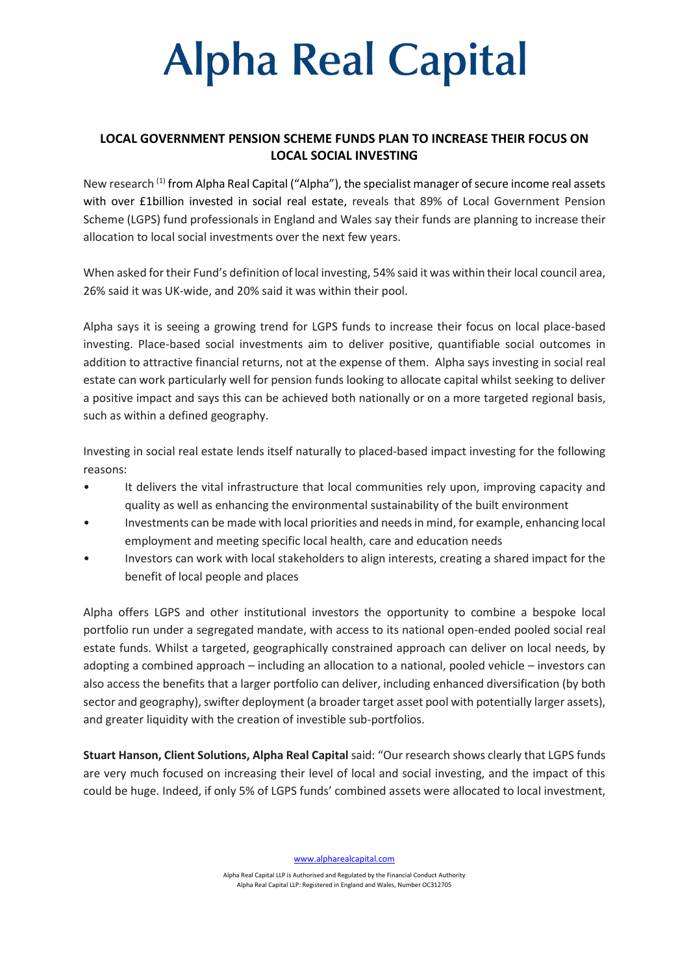# **Alpha Real Capital**

### **LOCAL GOVERNMENT PENSION SCHEME FUNDS PLAN TO INCREASE THEIR FOCUS ON LOCAL SOCIAL INVESTING**

New research (1) from Alpha Real Capital ("Alpha"), the specialist manager of secure income real assets with over £1billion invested in social real estate, reveals that 89% of Local Government Pension Scheme (LGPS) fund professionals in England and Wales say their funds are planning to increase their allocation to local social investments over the next few years.

When asked for their Fund's definition of local investing, 54% said it was within their local council area, 26% said it was UK-wide, and 20% said it was within their pool.

Alpha says it is seeing a growing trend for LGPS funds to increase their focus on local place-based investing. Place-based social investments aim to deliver positive, quantifiable social outcomes in addition to attractive financial returns, not at the expense of them. Alpha says investing in social real estate can work particularly well for pension funds looking to allocate capital whilst seeking to deliver a positive impact and says this can be achieved both nationally or on a more targeted regional basis, such as within a defined geography.

Investing in social real estate lends itself naturally to placed-based impact investing for the following reasons:

- It delivers the vital infrastructure that local communities rely upon, improving capacity and quality as well as enhancing the environmental sustainability of the built environment
- Investments can be made with local priorities and needs in mind, for example, enhancing local employment and meeting specific local health, care and education needs
- Investors can work with local stakeholders to align interests, creating a shared impact for the benefit of local people and places

Alpha offers LGPS and other institutional investors the opportunity to combine a bespoke local portfolio run under a segregated mandate, with access to its national open-ended pooled social real estate funds. Whilst a targeted, geographically constrained approach can deliver on local needs, by adopting a combined approach – including an allocation to a national, pooled vehicle – investors can also access the benefits that a larger portfolio can deliver, including enhanced diversification (by both sector and geography), swifter deployment (a broader target asset pool with potentially larger assets), and greater liquidity with the creation of investible sub-portfolios.

**Stuart Hanson, Client Solutions, Alpha Real Capital** said: "Our research shows clearly that LGPS funds are very much focused on increasing their level of local and social investing, and the impact of this could be huge. Indeed, if only 5% of LGPS funds' combined assets were allocated to local investment,

[www.alpharealcapital.com](http://www.alpharealcapital.com/)

Alpha Real Capital LLP is Authorised and Regulated by the Financial Conduct Authority Alpha Real Capital LLP: Registered in England and Wales, Number OC312705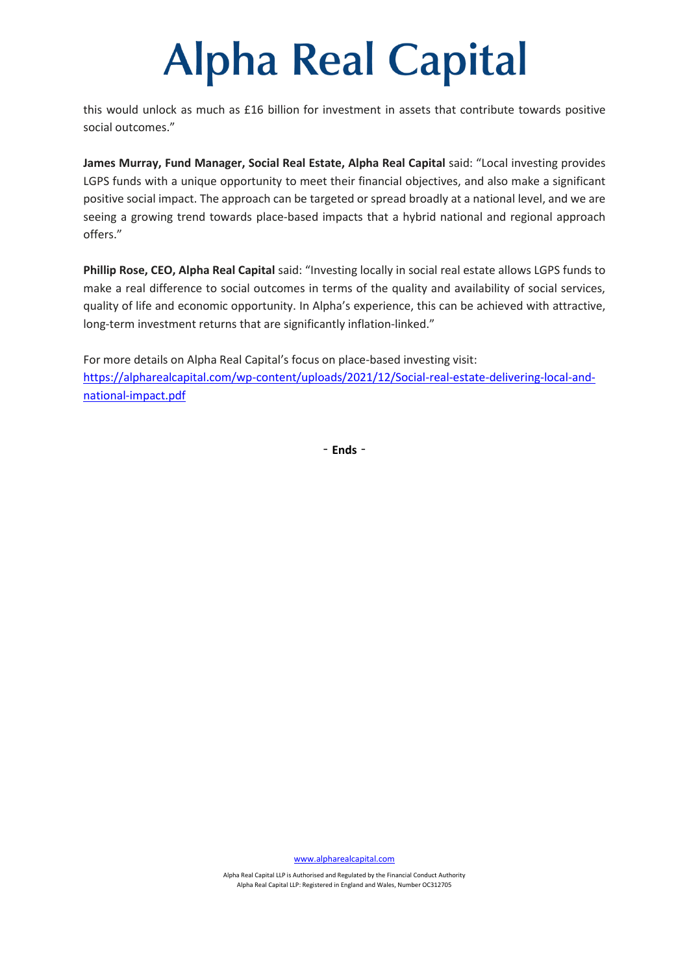### **Alpha Real Capital**

this would unlock as much as £16 billion for investment in assets that contribute towards positive social outcomes."

**James Murray, Fund Manager, Social Real Estate, Alpha Real Capital** said: "Local investing provides LGPS funds with a unique opportunity to meet their financial objectives, and also make a significant positive social impact. The approach can be targeted or spread broadly at a national level, and we are seeing a growing trend towards place-based impacts that a hybrid national and regional approach offers."

**Phillip Rose, CEO, Alpha Real Capital** said: "Investing locally in social real estate allows LGPS funds to make a real difference to social outcomes in terms of the quality and availability of social services, quality of life and economic opportunity. In Alpha's experience, this can be achieved with attractive, long-term investment returns that are significantly inflation-linked."

For more details on Alpha Real Capital's focus on place-based investing visit: [https://alpharealcapital.com/wp-content/uploads/2021/12/Social-real-estate-delivering-local-and](https://alpharealcapital.com/wp-content/uploads/2021/12/Social-real-estate-delivering-local-and-national-impact.pdf)[national-impact.pdf](https://alpharealcapital.com/wp-content/uploads/2021/12/Social-real-estate-delivering-local-and-national-impact.pdf)

‐**Ends**‐

[www.alpharealcapital.com](http://www.alpharealcapital.com/)

Alpha Real Capital LLP is Authorised and Regulated by the Financial Conduct Authority Alpha Real Capital LLP: Registered in England and Wales, Number OC312705